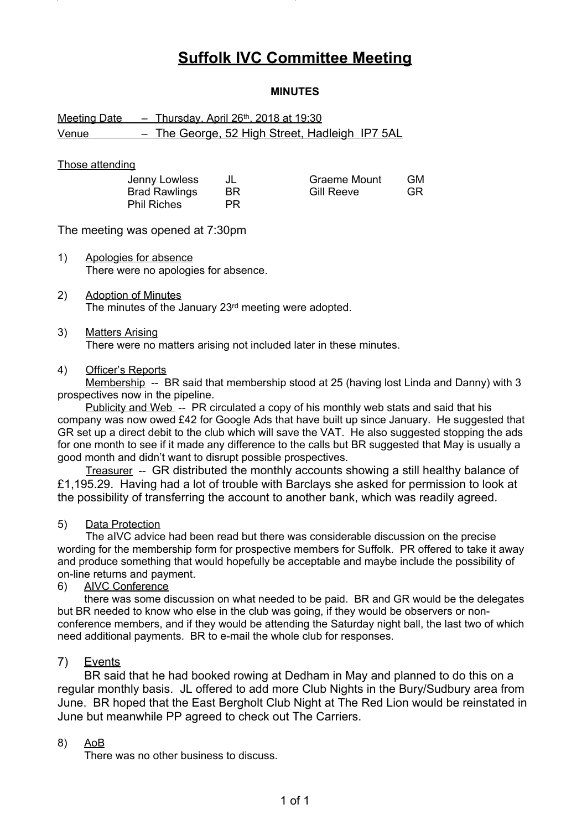# **Suffolk IVC Committee Meeting**

## **MINUTES**

# Meeting Date - Thursday, April 26<sup>th</sup>, 2018 at 19:30 Venue – The George, 52 High Street, Hadleigh IP7 5AL

#### Those attending

| Jenny Lowless        |     | Graeme Mount      | GМ |
|----------------------|-----|-------------------|----|
| <b>Brad Rawlings</b> | BR. | <b>Gill Reeve</b> | GR |
| <b>Phil Riches</b>   | PR. |                   |    |

The meeting was opened at 7:30pm

- 1) Apologies for absence There were no apologies for absence.
- 2) Adoption of Minutes The minutes of the January 23<sup>rd</sup> meeting were adopted.

#### 3) Matters Arising

There were no matters arising not included later in these minutes.

#### 4) Officer's Reports

Membership -- BR said that membership stood at 25 (having lost Linda and Danny) with 3 prospectives now in the pipeline.

Publicity and Web -- PR circulated a copy of his monthly web stats and said that his company was now owed £42 for Google Ads that have built up since January. He suggested that GR set up a direct debit to the club which will save the VAT. He also suggested stopping the ads for one month to see if it made any difference to the calls but BR suggested that May is usually a good month and didn't want to disrupt possible prospectives.

Treasurer -- GR distributed the monthly accounts showing a still healthy balance of £1,195.29. Having had a lot of trouble with Barclays she asked for permission to look at the possibility of transferring the account to another bank, which was readily agreed.

#### 5) Data Protection

The aIVC advice had been read but there was considerable discussion on the precise wording for the membership form for prospective members for Suffolk. PR offered to take it away and produce something that would hopefully be acceptable and maybe include the possibility of on-line returns and payment.

## 6) AIVC Conference

there was some discussion on what needed to be paid. BR and GR would be the delegates but BR needed to know who else in the club was going, if they would be observers or nonconference members, and if they would be attending the Saturday night ball, the last two of which need additional payments. BR to e-mail the whole club for responses.

#### 7) Events

BR said that he had booked rowing at Dedham in May and planned to do this on a regular monthly basis. JL offered to add more Club Nights in the Bury/Sudbury area from June. BR hoped that the East Bergholt Club Night at The Red Lion would be reinstated in June but meanwhile PP agreed to check out The Carriers.

#### 8) AoB

There was no other business to discuss.